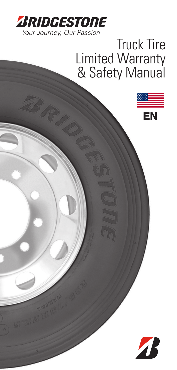

# Truck Tire Truck Tire **Limited Warranty & Safety Manua** Limited Warranty & Safety Manual

EN

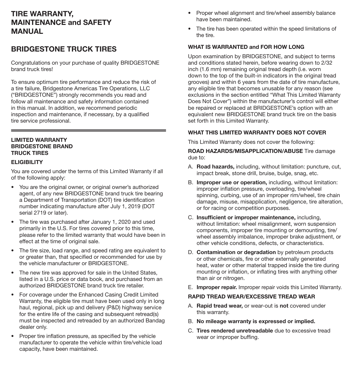# TIRE WARRANTY, MAINTENANCE and SAFETY MANUAL

# BRIDGESTONE TRUCK TIRES

Congratulations on your purchase of quality BRIDGESTONE brand truck tires!

To ensure optimum tire performance and reduce the risk of a tire failure, Bridgestone Americas Tire Operations, LLC ("BRIDGESTONE") strongly recommends you read and follow all maintenance and safety information contained in this manual. In addition, we recommend periodic inspection and maintenance, if necessary, by a qualified tire service professional.

### LIMITED WARRANTY BRIDGESTONE BRAND TRUCK TIRES

### **ELIGIBILITY**

You are covered under the terms of this Limited Warranty if all of the following apply:

- You are the original owner, or original owner's authorized agent, of any new BRIDGESTONE brand truck tire bearing a Department of Transportation (DOT) tire identification number indicating manufacture after July 1, 2019 (DOT serial 2719 or later).
- The tire was purchased after January 1, 2020 and used primarily in the U.S. For tires covered prior to this time, please refer to the limited warranty that would have been in effect at the time of original sale.
- The tire size, load range, and speed rating are equivalent to or greater than, that specified or recommended for use by the vehicle manufacturer or BRIDGESTONE.
- The new tire was approved for sale in the United States, listed in a U.S. price or data book, and purchased from an authorized BRIDGESTONE brand truck tire retailer.
- For coverage under the Enhanced Casing Credit Limited Warranty, the eligible tire must have been used only in long haul, regional, pick up and delivery (P&D) highway service for the entire life of the casing and subsequent retread(s) must be inspected and retreaded by an authorized Bandag dealer only.
- Proper tire inflation pressure, as specified by the vehicle manufacturer to operate the vehicle within tire/vehicle load capacity, have been maintained.
- Proper wheel alignment and tire/wheel assembly balance have been maintained.
- The tire has been operated within the speed limitations of the tire.

### WHAT IS WARRANTED and FOR HOW LONG

Upon examination by BRIDGESTONE, and subject to terms and conditions stated herein, before wearing down to 2/32 inch (1.6 mm) remaining original tread depth (i.e. worn down to the top of the built-in indicators in the original tread grooves) and within 6 years from the date of tire manufacture, any eligible tire that becomes unusable for any reason (see exclusions in the section entitled "What This Limited Warranty Does Not Cover") within the manufacturer's control will either be repaired or replaced at BRIDGESTONE's option with an equivalent new BRIDGESTONE brand truck tire on the basis set forth in this Limited Warranty.

### WHAT THIS LIMITED WARRANTY DOES NOT COVER

This Limited Warranty does not cover the following:

ROAD HAZARDS/MISAPPLICATION/ABUSE Tire damage due to:

- A. Road hazards, including, without limitation: puncture, cut, impact break, stone drill, bruise, bulge, snag, etc.
- B. Improper use or operation, including, without limitation: improper inflation pressure, overloading, tire/wheel spinning, curbing, use of an improper rim/wheel, tire chain damage, misuse, misapplication, negligence, tire alteration, or for racing or competition purposes.
- C. Insufficient or improper maintenance, including, without limitation: wheel misalignment, worn suspension components, improper tire mounting or demounting, tire/ wheel assembly imbalance, improper brake adjustment, or other vehicle conditions, defects, or characteristics.
- D. Contamination or degradation by petroleum products or other chemicals, fire or other externally generated heat, water or other material trapped inside the tire during mounting or inflation, or inflating tires with anything other than air or nitrogen.
- E. Improper repair. Improper repair voids this Limited Warranty.

### RAPID TREAD WEAR/EXCESSIVE TREAD WEAR

- A. Rapid tread wear, or wear-out is not covered under this warranty.
- B. No mileage warranty is expressed or implied.
- C. Tires rendered unretreadable due to excessive tread wear or improper buffing.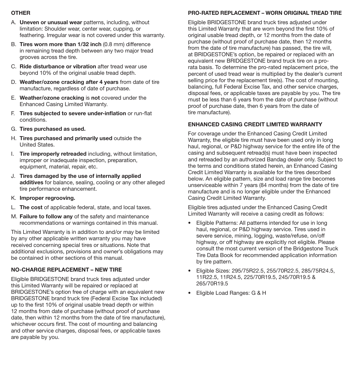### OTHER

- A. Uneven or unusual wear patterns, including, without limitation: Shoulder wear, center wear, cupping, or feathering. Irregular wear is not covered under this warranty.
- B. Tires worn more than 1/32 inch (0.8 mm) difference in remaining tread depth between any two major tread grooves across the tire.
- C. Ride disturbance or vibration after tread wear use beyond 10% of the original usable tread depth.
- D. Weather/ozone cracking after 4 years from date of tire manufacture, regardless of date of purchase.
- E. Weather/ozone cracking is not covered under the Enhanced Casing Limited Warranty.
- F. Tires subjected to severe under-inflation or run-flat conditions.
- G. Tires purchased as used.
- H. Tires purchased and primarily used outside the United States.
- I. Tire improperly retreaded including, without limitation, improper or inadequate inspection, preparation, equipment, material, repair, etc.
- J. Tires damaged by the use of internally applied additives for balance, sealing, cooling or any other alleged tire performance enhancement.
- K. Improper regrooving.
- L. The cost of applicable federal, state, and local taxes.
- M. Failure to follow any of the safety and maintenance recommendations or warnings contained in this manual.

This Limited Warranty is in addition to and/or may be limited by any other applicable written warranty you may have received concerning special tires or situations. Note that additional exclusions, provisions and owner's obligations may be contained in other sections of this manual.

## NO-CHARGE REPLACEMENT – NEW TIRE

Eligible BRIDGESTONE brand truck tires adjusted under this Limited Warranty will be repaired or replaced at BRIDGESTONE's option free of charge with an equivalent new BRIDGESTONE brand truck tire (Federal Excise Tax included) up to the first 10% of original usable tread depth or within 12 months from date of purchase (without proof of purchase date, then within 12 months from the date of tire manufacture), whichever occurs first. The cost of mounting and balancing and other service charges, disposal fees, or applicable taxes are payable by you.

# PRO-RATED REPLACEMENT – WORN ORIGINAL TREAD TIRE

Eligible BRIDGESTONE brand truck tires adjusted under this Limited Warranty that are worn beyond the first 10% of original usable tread depth, or 12 months from the date of purchase (without proof of purchase date, then 12 months from the date of tire manufacture) has passed, the tire will, at BRIDGESTONE's option, be repaired or replaced with an equivalent new BRIDGESTONE brand truck tire on a prorata basis. To determine the pro-rated replacement price, the percent of used tread wear is multiplied by the dealer's current selling price for the replacement tire(s). The cost of mounting, balancing, full Federal Excise Tax, and other service charges, disposal fees, or applicable taxes are payable by you. The tire must be less than 6 years from the date of purchase (without proof of purchase date, then 6 years from the date of tire manufacture).

## ENHANCED CASING CREDIT LIMITED WARRANTY

For coverage under the Enhanced Casing Credit Limited Warranty, the eligible tire must have been used only in long haul, regional, or P&D highway service for the entire life of the casing and subsequent retread(s) must have been inspected and retreaded by an authorized Bandag dealer only. Subject to the terms and conditions stated herein, an Enhanced Casing Credit Limited Warranty is available for the tires described below. An eligible pattern, size and load range tire becomes unserviceable within 7 years (84 months) from the date of tire manufacture and is no longer eligible under the Enhanced Casing Credit Limited Warranty.

Eligible tires adjusted under the Enhanced Casing Credit Limited Warranty will receive a casing credit as follows:

- Eligible Patterns: All patterns intended for use in long haul, regional, or P&D highway service. Tires used in severe service, mining, logging, waste/refuse, on/off highway, or off highway are explicitly not eligible. Please consult the most current version of the Bridgestone Truck Tire Data Book for recommended application information by tire pattern.
- Eligible Sizes: 295/75R22.5, 255/70R22.5, 285/75R24.5, 11R22.5, 11R24.5, 225/70R19.5, 245/70R19.5 & 265/70R19.5
- Eligible Load Ranges: G & H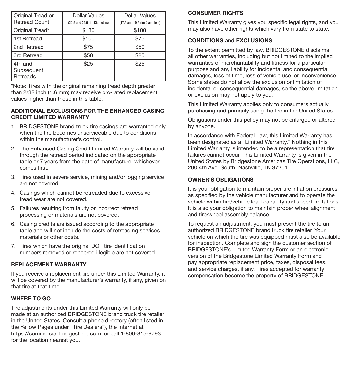| Original Tread or<br><b>Retread Count</b> | Dollar Values<br>(22.5 and 24.5 rim Diameters) | Dollar Values<br>(17.5 and 19.5 rim Diameters) |
|-------------------------------------------|------------------------------------------------|------------------------------------------------|
| Original Tread*                           | \$130                                          | \$100                                          |
| 1st Retread                               | \$100                                          | \$75                                           |
| 2nd Retread                               | \$75                                           | \$50                                           |
| 3rd Retread                               | \$50                                           | \$25                                           |
| 4th and<br>Subsequent<br>Retreads         | \$25                                           | \$25                                           |

\*Note: Tires with the original remaining tread depth greater than 2/32 inch (1.6 mm) may receive pro-rated replacement values higher than those in this table.

### ADDITIONAL EXCLUSIONS FOR THE ENHANCED CASING CREDIT LIMITED WARRANTY

- 1. BRIDGESTONE brand truck tire casings are warranted only when the tire becomes unserviceable due to conditions within the manufacturer's control.
- 2. The Enhanced Casing Credit Limited Warranty will be valid through the retread period indicated on the appropriate table or 7 years from the date of manufacture, whichever comes first.
- 3. Tires used in severe service, mining and/or logging service are not covered.
- 4. Casings which cannot be retreaded due to excessive tread wear are not covered.
- 5. Failures resulting from faulty or incorrect retread processing or materials are not covered.
- 6. Casing credits are issued according to the appropriate table and will not include the costs of retreading services, materials or other costs.
- 7. Tires which have the original DOT tire identification numbers removed or rendered illegible are not covered.

### REPLACEMENT WARRANTY

If you receive a replacement tire under this Limited Warranty, it will be covered by the manufacturer's warranty, if any, given on that tire at that time.

### WHERE TO GO

Tire adjustments under this Limited Warranty will only be made at an authorized BRIDGESTONE brand truck tire retailer in the United States. Consult a phone directory (often listed in the Yellow Pages under "Tire Dealers"), the Internet at https://commercial.bridgestone.com, or call 1-800-815-9793 for the location nearest you.

### CONSUMER RIGHTS

This Limited Warranty gives you specific legal rights, and you may also have other rights which vary from state to state.

### CONDITIONS and EXCLUSIONS

To the extent permitted by law, BRIDGESTONE disclaims all other warranties, including but not limited to the implied warranties of merchantability and fitness for a particular purpose and any liability for incidental and consequential damages, loss of time, loss of vehicle use, or inconvenience. Some states do not allow the exclusion or limitation of incidental or consequential damages, so the above limitation or exclusion may not apply to you.

This Limited Warranty applies only to consumers actually purchasing and primarily using the tire in the United States.

Obligations under this policy may not be enlarged or altered by anyone.

In accordance with Federal Law, this Limited Warranty has been designated as a "Limited Warranty." Nothing in this Limited Warranty is intended to be a representation that tire failures cannot occur. This Limited Warranty is given in the United States by Bridgestone Americas Tire Operations, LLC, 200 4th Ave. South, Nashville, TN 37201.

### OWNER'S OBLIGATIONS

It is your obligation to maintain proper tire inflation pressures as specified by the vehicle manufacturer and to operate the vehicle within tire/vehicle load capacity and speed limitations. It is also your obligation to maintain proper wheel alignment and tire/wheel assembly balance.

To request an adjustment, you must present the tire to an authorized BRIDGESTONE brand truck tire retailer. Your vehicle on which the tire was equipped must also be available for inspection. Complete and sign the customer section of BRIDGESTONE's Limited Warranty Form or an electronic version of the Bridgestone Limited Warranty Form and pay appropriate replacement price, taxes, disposal fees, and service charges, if any. Tires accepted for warranty compensation become the property of BRIDGESTONE.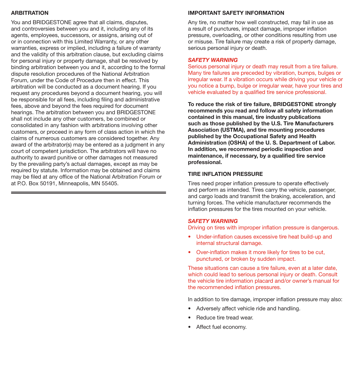### ARBITRATION

You and BRIDGESTONE agree that all claims, disputes, and controversies between you and it, including any of its agents, employees, successors, or assigns, arising out of or in connection with this Limited Warranty, or any other warranties, express or implied, including a failure of warranty and the validity of this arbitration clause, but excluding claims for personal injury or property damage, shall be resolved by binding arbitration between you and it, according to the formal dispute resolution procedures of the National Arbitration Forum, under the Code of Procedure then in effect. This arbitration will be conducted as a document hearing. If you request any procedures beyond a document hearing, you will be responsible for all fees, including filing and administrative fees, above and beyond the fees required for document hearings. The arbitration between you and BRIDGESTONE shall not include any other customers, be combined or consolidated in any fashion with arbitrations involving other customers, or proceed in any form of class action in which the claims of numerous customers are considered together. Any award of the arbitrator(s) may be entered as a judgment in any court of competent jurisdiction. The arbitrators will have no authority to award punitive or other damages not measured by the prevailing party's actual damages, except as may be required by statute. Information may be obtained and claims may be filed at any office of the National Arbitration Forum or at P.O. Box 50191, Minneapolis, MN 55405.

### IMPORTANT SAFETY INFORMATION

Any tire, no matter how well constructed, may fail in use as a result of punctures, impact damage, improper inflation pressure, overloading, or other conditions resulting from use or misuse. Tire failure may create a risk of property damage, serious personal injury or death.

#### *SAFETY WARNING*

Serious personal injury or death may result from a tire failure. Many tire failures are preceded by vibration, bumps, bulges or irregular wear. If a vibration occurs while driving your vehicle or you notice a bump, bulge or irregular wear, have your tires and vehicle evaluated by a qualified tire service professional.

To reduce the risk of tire failure, BRIDGESTONE strongly recommends you read and follow all safety information contained in this manual, tire industry publications such as those published by the U.S. Tire Manufacturers Association (USTMA), and tire mounting procedures published by the Occupational Safety and Health Administration (OSHA) of the U. S. Department of Labor. In addition, we recommend periodic inspection and maintenance, if necessary, by a qualified tire service professional.

### TIRE INFLATION PRESSURE

Tires need proper inflation pressure to operate effectively and perform as intended. Tires carry the vehicle, passenger, and cargo loads and transmit the braking, acceleration, and turning forces. The vehicle manufacturer recommends the inflation pressures for the tires mounted on your vehicle.

### *SAFETY WARNING*

Driving on tires with improper inflation pressure is dangerous.

- Under-inflation causes excessive tire heat build-up and internal structural damage.
- Over-inflation makes it more likely for tires to be cut, punctured, or broken by sudden impact.

These situations can cause a tire failure, even at a later date, which could lead to serious personal injury or death. Consult the vehicle tire information placard and/or owner's manual for the recommended inflation pressures.

In addition to tire damage, improper inflation pressure may also:

- Adversely affect vehicle ride and handling.
- Reduce tire tread wear.
- Affect fuel economy.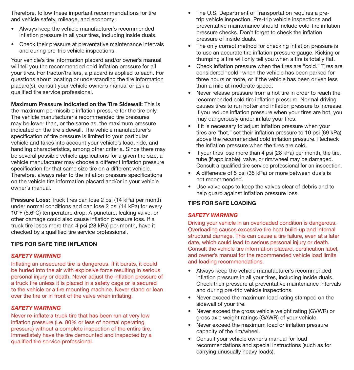Therefore, follow these important recommendations for tire and vehicle safety, mileage, and economy:

- Always keep the vehicle manufacturer's recommended inflation pressure in all your tires, including inside duals.
- Check their pressure at preventative maintenance intervals and during pre-trip vehicle inspections.

Your vehicle's tire information placard and/or owner's manual will tell you the recommended cold inflation pressure for all your tires. For tractor/trailers, a placard is applied to each. For questions about locating or understanding the tire information placard(s), consult your vehicle owner's manual or ask a qualified tire service professional.

Maximum Pressure Indicated on the Tire Sidewall: This is the maximum permissible inflation pressure for the tire only. The vehicle manufacturer's recommended tire pressures may be lower than, or the same as, the maximum pressure indicated on the tire sidewall. The vehicle manufacturer's specification of tire pressure is limited to your particular vehicle and takes into account your vehicle's load, ride, and handling characteristics, among other criteria. Since there may be several possible vehicle applications for a given tire size, a vehicle manufacturer may choose a different inflation pressure specification for that same size tire on a different vehicle. Therefore, always refer to the inflation pressure specifications on the vehicle tire information placard and/or in your vehicle owner's manual.

Pressure Loss: Truck tires can lose 2 psi (14 kPa) per month under normal conditions and can lose 2 psi (14 kPa) for every 10°F (5.6°C) temperature drop. A puncture, leaking valve, or other damage could also cause inflation pressure loss. If a truck tire loses more than 4 psi (28 kPa) per month, have it checked by a qualified tire service professional.

### TIPS FOR SAFE TIRE INFLATION

### *SAFETY WARNING*

Inflating an unsecured tire is dangerous. If it bursts, it could be hurled into the air with explosive force resulting in serious personal injury or death. Never adjust the inflation pressure of a truck tire unless it is placed in a safety cage or is secured to the vehicle or a tire mounting machine. Never stand or lean over the tire or in front of the valve when inflating.

#### *SAFETY WARNING*

Never re-inflate a truck tire that has been run at very low inflation pressure (i.e. 80% or less of normal operating pressure) without a complete inspection of the entire tire. Immediately have the tire demounted and inspected by a qualified tire service professional.

- The U.S. Department of Transportation requires a pretrip vehicle inspection. Pre-trip vehicle inspections and preventative maintenance should include cold-tire inflation pressure checks. Don't forget to check the inflation pressure of inside duals.
- The only correct method for checking inflation pressure is to use an accurate tire inflation pressure gauge. Kicking or thumping a tire will only tell you when a tire is totally flat.
- Check inflation pressure when the tires are "cold." Tires are considered "cold" when the vehicle has been parked for three hours or more, or if the vehicle has been driven less than a mile at moderate speed.
- Never release pressure from a hot tire in order to reach the recommended cold tire inflation pressure. Normal driving causes tires to run hotter and inflation pressure to increase. If you reduce inflation pressure when your tires are hot, you may dangerously under inflate your tires.
- If it is necessary to adjust inflation pressure when your tires are "hot," set their inflation pressure to 10 psi (69 kPa) above the recommended cold inflation pressure. Recheck the inflation pressure when the tires are cold.
- If your tires lose more than 4 psi (28 kPa) per month, the tire, tube (if applicable), valve, or rim/wheel may be damaged. Consult a qualified tire service professional for an inspection.
- A difference of 5 psi (35 kPa) or more between duals is not recommended.
- Use valve caps to keep the valves clear of debris and to help guard against inflation pressure loss.

#### TIPS FOR SAFE LOADING

#### *SAFETY WARNING*

Driving your vehicle in an overloaded condition is dangerous. Overloading causes excessive tire heat build-up and internal structural damage. This can cause a tire failure, even at a later date, which could lead to serious personal injury or death. Consult the vehicle tire information placard, certification label, and owner's manual for the recommended vehicle load limits and loading recommendations.

- Always keep the vehicle manufacturer's recommended inflation pressure in all your tires, including inside duals. Check their pressure at preventative maintenance intervals and during pre-trip vehicle inspections.
- Never exceed the maximum load rating stamped on the sidewall of your tire.
- Never exceed the gross vehicle weight rating (GVWR) or gross axle weight ratings (GAWR) of your vehicle.
- Never exceed the maximum load or inflation pressure capacity of the rim/wheel.
- Consult your vehicle owner's manual for load recommendations and special instructions (such as for carrying unusually heavy loads).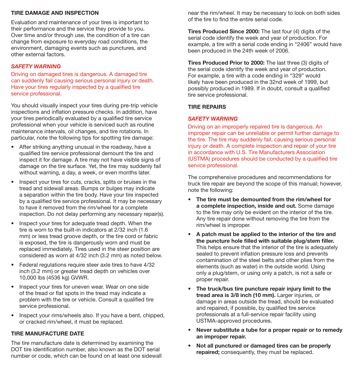### TIRE DAMAGE AND INSPECTION

Evaluation and maintenance of your tires is important to their performance and the service they provide to you. Over time and/or through use, the condition of a tire can change from exposure to everyday road conditions, the environment, damaging events such as punctures, and other external factors.

### *SAFETY WARNING*

Driving on damaged tires is dangerous. A damaged tire can suddenly fail causing serious personal injury or death. Have your tires regularly inspected by a qualified tire service professional.

You should visually inspect your tires during pre-trip vehicle inspections and inflation pressure checks. In addition, have your tires periodically evaluated by a qualified tire service professional when your vehicle is serviced such as routine maintenance intervals, oil changes, and tire rotations. In particular, note the following tips for spotting tire damage:

- After striking anything unusual in the roadway, have a qualified tire service professional demount the tire and inspect it for damage. A tire may not have visible signs of damage on the tire surface. Yet, the tire may suddenly fail without warning, a day, a week, or even months later.
- Inspect your tires for cuts, cracks, splits or bruises in the tread and sidewall areas. Bumps or bulges may indicate a separation within the tire body. Have your tire inspected by a qualified tire service professional. It may be necessary to have it removed from the rim/wheel for a complete inspection. Do not delay performing any necessary repair(s).
- Inspect your tires for adequate tread depth. When the tire is worn to the built-in indicators at 2/32 inch (1.6 mm) or less tread groove depth, or the tire cord or fabric is exposed, the tire is dangerously worn and must be replaced immediately. Tires used in the steer position are considered as worn at 4/32 inch (3.2 mm) as noted below.
- Federal regulations require steer axle tires to have 4/32 inch (3.2 mm) or greater tread depth on vehicles over 10,000 lbs (4536 kg) GVWR.
- Inspect your tires for uneven wear. Wear on one side of the tread or flat spots in the tread may indicate a problem with the tire or vehicle. Consult a qualified tire service professional.
- Inspect your rims/wheels also. If you have a bent, chipped, or cracked rim/wheel, it must be replaced.

### TIRE MANUFACTURE DATE

The tire manufacture date is determined by examining the DOT tire identification number, also known as the DOT serial number or code, which can be found on at least one sidewall near the rim/wheel. It may be necessary to look on both sides of the tire to find the entire serial code.

Tires Produced Since 2000: The last four (4) digits of the serial code identify the week and year of production. For example, a tire with a serial code ending in "2406" would have been produced in the 24th week of 2006.

Tires Produced Prior to 2000: The last three (3) digits of the serial code identify the week and year of production. For example, a tire with a code ending in "329" would likely have been produced in the 32nd week of 1999, but possibly produced in 1989. If in doubt, consult a qualified tire service professional.

### TIRE REPAIRS

### *SAFETY WARNING*

Driving on an improperly repaired tire is dangerous. An improper repair can be unreliable or permit further damage to the tire. The tire may suddenly fail, causing serious personal injury or death. A complete inspection and repair of your tire in accordance with U.S. Tire Manufacturers Association (USTMA) procedures should be conducted by a qualified tire service professional.

The comprehensive procedures and recommendations for truck tire repair are beyond the scope of this manual; however, note the following:

- The tire must be demounted from the rim/wheel for a complete inspection, inside and out. Some damage to the tire may only be evident on the interior of the tire. Any tire repair done without removing the tire from the rim/wheel is improper.
- A patch must be applied to the interior of the tire and the puncture hole filled with suitable plug/stem filler. This helps ensure that the interior of the tire is adequately sealed to prevent inflation pressure loss and prevents contamination of the steel belts and other plies from the elements (such as water) in the outside world. Using only a plug/stem, or using only a patch, is not a safe or proper repair.
- The truck/bus tire puncture repair injury limit to the tread area is 3/8 inch (10 mm). Larger injuries, or damage in areas outside the tread, should be evaluated and repaired, if possible, by qualified tire service professionals at a full-service repair facility using USTMA-approved procedures.
- Never substitute a tube for a proper repair or to remedy an improper repair.
- Not all punctured or damaged tires can be properly repaired: consequently, they must be replaced.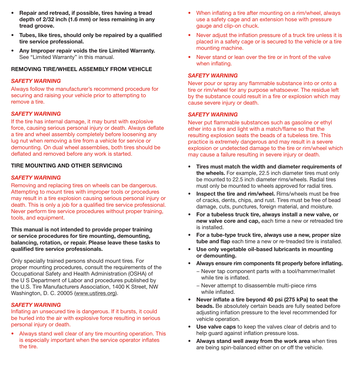- Repair and retread, if possible, tires having a tread depth of 2/32 inch (1.6 mm) or less remaining in any tread groove.
- Tubes, like tires, should only be repaired by a qualified tire service professional.
- Any Improper repair voids the tire Limited Warranty. See "Limited Warranty" in this manual.

### REMOVING TIRE/WHEEL ASSEMBLY FROM VEHICLE

### *SAFETY WARNING*

Always follow the manufacturer's recommend procedure for securing and raising your vehicle prior to attempting to remove a tire.

### *SAFETY WARNING*

If the tire has internal damage, it may burst with explosive force, causing serious personal injury or death. Always deflate a tire and wheel assembly completely before loosening any lug nut when removing a tire from a vehicle for service or demounting. On dual wheel assemblies, both tires should be deflated and removed before any work is started.

### TIRE MOUNTING AND OTHER SERVICING

### *SAFETY WARNING*

Removing and replacing tires on wheels can be dangerous. Attempting to mount tires with improper tools or procedures may result in a tire explosion causing serious personal injury or death. This is only a job for a qualified tire service professional. Never perform tire service procedures without proper training, tools, and equipment.

This manual is not intended to provide proper training or service procedures for tire mounting, demounting, balancing, rotation, or repair. Please leave these tasks to qualified tire service professionals.

Only specially trained persons should mount tires. For proper mounting procedures, consult the requirements of the Occupational Safety and Health Administration (OSHA) of the U S Department of Labor and procedures published by the U.S. Tire Manufacturers Association, 1400 K Street, NW Washington, D. C. 20005 (www.ustires.org).

### *SAFETY WARNING*

Inflating an unsecured tire is dangerous. If it bursts, it could be hurled into the air with explosive force resulting in serious personal injury or death.

• Always stand well clear of any tire mounting operation. This is especially important when the service operator inflates the tire.

- When inflating a tire after mounting on a rim/wheel, always use a safety cage and an extension hose with pressure gauge and clip-on chuck.
- Never adjust the inflation pressure of a truck tire unless it is placed in a safety cage or is secured to the vehicle or a tire mounting machine.
- Never stand or lean over the tire or in front of the valve when inflating.

### *SAFETY WARNING*

Never pour or spray any flammable substance into or onto a tire or rim/wheel for any purpose whatsoever. The residue left by the substance could result in a fire or explosion which may cause severe injury or death.

### *SAFETY WARNING*

Never put flammable substances such as gasoline or ethyl ether into a tire and light with a match/flame so that the resulting explosion seats the beads of a tubeless tire. This practice is extremely dangerous and may result in a severe explosion or undetected damage to the tire or rim/wheel which may cause a failure resulting in severe injury or death.

- Tires must match the width and diameter requirements of the wheels. For example, 22.5 inch diameter tires must only be mounted to 22.5 inch diameter rims/wheels. Radial tires must only be mounted to wheels approved for radial tires.
- **Inspect the tire and rim/wheel.** Rims/wheels must be free of cracks, dents, chips, and rust. Tires must be free of bead damage, cuts, punctures, foreign material, and moisture.
- For a tubeless truck tire, always install a new valve, or new valve core and cap, each time a new or retreaded tire is installed.
- For a tube-type truck tire, always use a new, proper size tube and flap each time a new or re-treaded tire is installed.
- Use only vegetable oil-based lubricants in mounting or demounting.
- Always ensure rim components fit properly before inflating.
	- − Never tap component parts with a tool/hammer/mallet while tire is inflated.
	- − Never attempt to disassemble multi-piece rims while inflated.
- Never inflate a tire beyond 40 psi (275 kPa) to seat the beads. Be absolutely certain beads are fully seated before adjusting inflation pressure to the level recommended for vehicle operation.
- Use valve caps to keep the valves clear of debris and to help guard against inflation pressure loss.
- Always stand well away from the work area when tires are being spin-balanced either on or off the vehicle.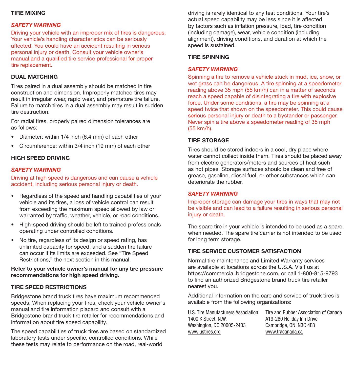### TIRE MIXING

### *SAFETY WARNING*

Driving your vehicle with an improper mix of tires is dangerous. Your vehicle's handling characteristics can be seriously affected. You could have an accident resulting in serious personal injury or death. Consult your vehicle owner's manual and a qualified tire service professional for proper tire replacement.

### DUAL MATCHING

Tires paired in a dual assembly should be matched in tire construction and dimension. Improperly matched tires may result in irregular wear, rapid wear, and premature tire failure. Failure to match tires in a dual assembly may result in sudden tire destruction.

For radial tires, properly paired dimension tolerances are as follows:

- Diameter: within 1/4 inch (6.4 mm) of each other
- Circumference: within 3/4 inch (19 mm) of each other

#### HIGH SPEED DRIVING

### *SAFETY WARNING*

Driving at high speed is dangerous and can cause a vehicle accident, including serious personal injury or death.

- Regardless of the speed and handling capabilities of your vehicle and its tires, a loss of vehicle control can result from exceeding the maximum speed allowed by law or warranted by traffic, weather, vehicle, or road conditions.
- High-speed driving should be left to trained professionals operating under controlled conditions.
- No tire, regardless of its design or speed rating, has unlimited capacity for speed, and a sudden tire failure can occur if its limits are exceeded. See "Tire Speed Restrictions," the next section in this manual.

#### Refer to your vehicle owner's manual for any tire pressure recommendations for high speed driving.

#### TIRE SPEED RESTRICTIONS

Bridgestone brand truck tires have maximum recommended speeds. When replacing your tires, check your vehicle owner's manual and tire information placard and consult with a Bridgestone brand truck tire retailer for recommendations and information about tire speed capability.

The speed capabilities of truck tires are based on standardized laboratory tests under specific, controlled conditions. While these tests may relate to performance on the road, real-world

driving is rarely identical to any test conditions. Your tire's actual speed capability may be less since it is affected by factors such as inflation pressure, load, tire condition (including damage), wear, vehicle condition (including alignment), driving conditions, and duration at which the speed is sustained.

#### TIRE SPINNING

#### *SAFETY WARNING*

Spinning a tire to remove a vehicle stuck in mud, ice, snow, or wet grass can be dangerous. A tire spinning at a speedometer reading above 35 mph (55 km/h) can in a matter of seconds reach a speed capable of disintegrating a tire with explosive force. Under some conditions, a tire may be spinning at a speed twice that shown on the speedometer. This could cause serious personal injury or death to a bystander or passenger. Never spin a tire above a speedometer reading of 35 mph (55 km/h).

#### TIRE STORAGE

Tires should be stored indoors in a cool, dry place where water cannot collect inside them. Tires should be placed away from electric generators/motors and sources of heat such as hot pipes. Storage surfaces should be clean and free of grease, gasoline, diesel fuel, or other substances which can deteriorate the rubber.

#### *SAFETY WARNING*

Improper storage can damage your tires in ways that may not be visible and can lead to a failure resulting in serious personal injury or death.

The spare tire in your vehicle is intended to be used as a spare when needed. The spare tire carrier is not intended to be used for long term storage.

### TIRE SERVICE CUSTOMER SATISFACTION

Normal tire maintenance and Limited Warranty services are available at locations across the U.S.A. Visit us at https://commercial.bridgestone.com, or call 1-800-815-9793 to find an authorized Bridgestone brand truck tire retailer nearest you.

Additional information on the care and service of truck tires is available from the following organizations:

U.S. Tire Manufacturers Association 1400 K Street, N.W. Washington, DC 20005-2403 www.ustires.org

Tire and Rubber Association of Canada A19-260 Holiday Inn Drive Cambridge, ON, N3C 4E8 www.tracanada.ca